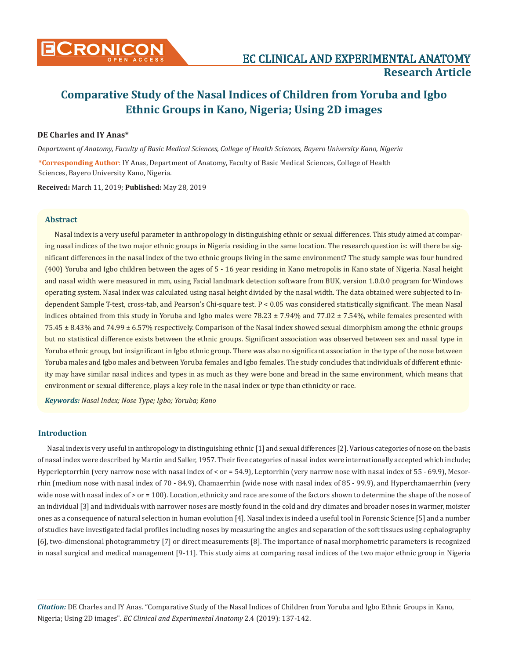

# **Comparative Study of the Nasal Indices of Children from Yoruba and Igbo Ethnic Groups in Kano, Nigeria; Using 2D images**

# **DE Charles and IY Anas\***

*Department of Anatomy, Faculty of Basic Medical Sciences, College of Health Sciences, Bayero University Kano, Nigeria*

**\*Corresponding Author**: IY Anas, Department of Anatomy, Faculty of Basic Medical Sciences, College of Health Sciences, Bayero University Kano, Nigeria.

**Received:** March 11, 2019; **Published:** May 28, 2019

#### **Abstract**

Nasal index is a very useful parameter in anthropology in distinguishing ethnic or sexual differences. This study aimed at comparing nasal indices of the two major ethnic groups in Nigeria residing in the same location. The research question is: will there be significant differences in the nasal index of the two ethnic groups living in the same environment? The study sample was four hundred (400) Yoruba and Igbo children between the ages of 5 - 16 year residing in Kano metropolis in Kano state of Nigeria. Nasal height and nasal width were measured in mm, using Facial landmark detection software from BUK, version 1.0.0.0 program for Windows operating system. Nasal index was calculated using nasal height divided by the nasal width. The data obtained were subjected to Independent Sample T-test, cross-tab, and Pearson's Chi-square test. P < 0.05 was considered statistically significant. The mean Nasal indices obtained from this study in Yoruba and Igbo males were 78.23  $\pm$  7.94% and 77.02  $\pm$  7.54%, while females presented with 75.45 ± 8.43% and 74.99 ± 6.57% respectively. Comparison of the Nasal index showed sexual dimorphism among the ethnic groups but no statistical difference exists between the ethnic groups. Significant association was observed between sex and nasal type in Yoruba ethnic group, but insignificant in Igbo ethnic group. There was also no significant association in the type of the nose between Yoruba males and Igbo males and between Yoruba females and Igbo females. The study concludes that individuals of different ethnicity may have similar nasal indices and types in as much as they were bone and bread in the same environment, which means that environment or sexual difference, plays a key role in the nasal index or type than ethnicity or race.

*Keywords: Nasal Index; Nose Type; Igbo; Yoruba; Kano*

# **Introduction**

Nasal index is very useful in anthropology in distinguishing ethnic [1] and sexual differences [2]. Various categories of nose on the basis of nasal index were described by Martin and Saller, 1957. Their five categories of nasal index were internationally accepted which include; Hyperleptorrhin (very narrow nose with nasal index of < or = 54.9), Leptorrhin (very narrow nose with nasal index of 55 - 69.9), Mesorrhin (medium nose with nasal index of 70 - 84.9), Chamaerrhin (wide nose with nasal index of 85 - 99.9), and Hyperchamaerrhin (very wide nose with nasal index of > or = 100). Location, ethnicity and race are some of the factors shown to determine the shape of the nose of an individual [3] and individuals with narrower noses are mostly found in the cold and dry climates and broader noses in warmer, moister ones as a consequence of natural selection in human evolution [4]. Nasal index is indeed a useful tool in Forensic Science [5] and a number of studies have investigated facial profiles including noses by measuring the angles and separation of the soft tissues using cephalography [6], two-dimensional photogrammetry [7] or direct measurements [8]. The importance of nasal morphometric parameters is recognized in nasal surgical and medical management [9-11]. This study aims at comparing nasal indices of the two major ethnic group in Nigeria

*Citation:* DE Charles and IY Anas*.* "Comparative Study of the Nasal Indices of Children from Yoruba and Igbo Ethnic Groups in Kano, Nigeria; Using 2D images". *EC Clinical and Experimental Anatomy* 2.4 (2019): 137-142.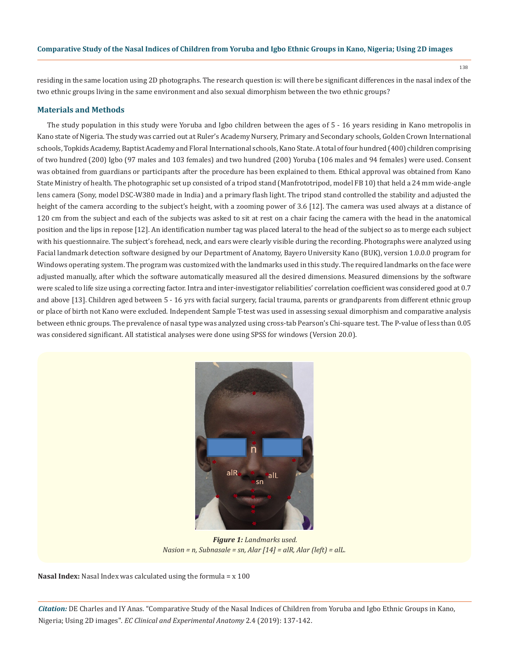residing in the same location using 2D photographs. The research question is: will there be significant differences in the nasal index of the two ethnic groups living in the same environment and also sexual dimorphism between the two ethnic groups?

#### **Materials and Methods**

The study population in this study were Yoruba and Igbo children between the ages of 5 - 16 years residing in Kano metropolis in Kano state of Nigeria. The study was carried out at Ruler's Academy Nursery, Primary and Secondary schools, Golden Crown International schools, Topkids Academy, Baptist Academy and Floral International schools, Kano State. A total of four hundred (400) children comprising of two hundred (200) Igbo (97 males and 103 females) and two hundred (200) Yoruba (106 males and 94 females) were used. Consent was obtained from guardians or participants after the procedure has been explained to them. Ethical approval was obtained from Kano State Ministry of health. The photographic set up consisted of a tripod stand (Manfrototripod, model FB 10) that held a 24 mm wide-angle lens camera (Sony, model DSC-W380 made in India) and a primary flash light. The tripod stand controlled the stability and adjusted the height of the camera according to the subject's height, with a zooming power of 3.6 [12]. The camera was used always at a distance of 120 cm from the subject and each of the subjects was asked to sit at rest on a chair facing the camera with the head in the anatomical position and the lips in repose [12]. An identification number tag was placed lateral to the head of the subject so as to merge each subject with his questionnaire. The subject's forehead, neck, and ears were clearly visible during the recording. Photographs were analyzed using Facial landmark detection software designed by our Department of Anatomy, Bayero University Kano (BUK), version 1.0.0.0 program for Windows operating system. The program was customized with the landmarks used in this study. The required landmarks on the face were adjusted manually, after which the software automatically measured all the desired dimensions. Measured dimensions by the software were scaled to life size using a correcting factor. Intra and inter-investigator reliabilities' correlation coefficient was considered good at 0.7 and above [13]. Children aged between 5 - 16 yrs with facial surgery, facial trauma, parents or grandparents from different ethnic group or place of birth not Kano were excluded. Independent Sample T-test was used in assessing sexual dimorphism and comparative analysis between ethnic groups. The prevalence of nasal type was analyzed using cross-tab Pearson's Chi-square test. The P-value of less than 0.05 was considered significant. All statistical analyses were done using SPSS for windows (Version 20.0).



 *Figure 1: Landmarks used. Nasion = n, Subnasale = sn, Alar [14] = alR, Alar (left) = alL.*

**Nasal Index:** Nasal Index was calculated using the formula = x 100

*Citation:* DE Charles and IY Anas*.* "Comparative Study of the Nasal Indices of Children from Yoruba and Igbo Ethnic Groups in Kano, Nigeria; Using 2D images". *EC Clinical and Experimental Anatomy* 2.4 (2019): 137-142.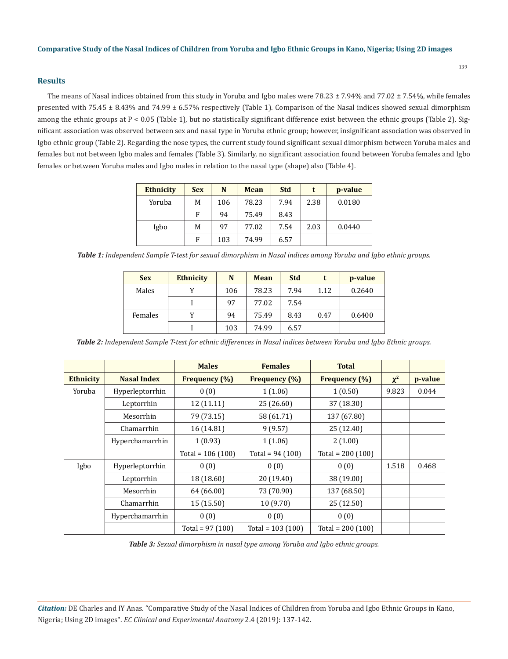# **Results**

The means of Nasal indices obtained from this study in Yoruba and Igbo males were  $78.23 \pm 7.94\%$  and  $77.02 \pm 7.54\%$ , while females presented with 75.45 ± 8.43% and 74.99 ± 6.57% respectively (Table 1). Comparison of the Nasal indices showed sexual dimorphism among the ethnic groups at P < 0.05 (Table 1), but no statistically significant difference exist between the ethnic groups (Table 2). Significant association was observed between sex and nasal type in Yoruba ethnic group; however, insignificant association was observed in Igbo ethnic group (Table 2). Regarding the nose types, the current study found significant sexual dimorphism between Yoruba males and females but not between Igbo males and females (Table 3). Similarly, no significant association found between Yoruba females and Igbo females or between Yoruba males and Igbo males in relation to the nasal type (shape) also (Table 4).

| <b>Ethnicity</b> | <b>Sex</b> | N   | <b>Mean</b> | <b>Std</b> | t    | p-value |
|------------------|------------|-----|-------------|------------|------|---------|
| Yoruba           | М          | 106 | 78.23       | 7.94       | 2.38 | 0.0180  |
|                  | F          | 94  | 75.49       | 8.43       |      |         |
| Igbo             | М          | 97  | 77.02       | 7.54       | 2.03 | 0.0440  |
|                  | F          | 103 | 74.99       | 6.57       |      |         |

*Table 1: Independent Sample T-test for sexual dimorphism in Nasal indices among Yoruba and Igbo ethnic groups.*

| <b>Sex</b> | <b>Ethnicity</b> | N   | Mean  | <b>Std</b> |      | p-value |
|------------|------------------|-----|-------|------------|------|---------|
| Males      |                  | 106 | 78.23 | 7.94       | 1.12 | 0.2640  |
|            |                  | 97  | 77.02 | 7.54       |      |         |
| Females    |                  | 94  | 75.49 | 8.43       | 0.47 | 0.6400  |
|            |                  | 103 | 74.99 | 6.57       |      |         |

*Table 2: Independent Sample T-test for ethnic differences in Nasal indices between Yoruba and Igbo Ethnic groups.*

|           |                    | <b>Males</b>       | <b>Females</b>     | <b>Total</b>       |          |         |
|-----------|--------------------|--------------------|--------------------|--------------------|----------|---------|
| Ethnicity | <b>Nasal Index</b> | Frequency (%)      | Frequency (%)      | Frequency (%)      | $\chi^2$ | p-value |
| Yoruba    | Hyperleptorrhin    | 0(0)               | 1(1.06)            | 1(0.50)            | 9.823    | 0.044   |
|           | Leptorrhin         | 12(11.11)          | 25 (26.60)         | 37 (18.30)         |          |         |
|           | Mesorrhin          | 79 (73.15)         | 58 (61.71)         | 137 (67.80)        |          |         |
|           | Chamarrhin         | 16 (14.81)         | 9(9.57)            | 25 (12.40)         |          |         |
|           | Hyperchamarrhin    | 1(0.93)            | 1(1.06)            | 2(1.00)            |          |         |
|           |                    | Total = $106(100)$ | Total = $94(100)$  | Total = $200(100)$ |          |         |
| Igbo      | Hyperleptorrhin    | 0(0)               | 0(0)               | 0(0)               | 1.518    | 0.468   |
|           | Leptorrhin         | 18 (18.60)         | 20 (19.40)         | 38 (19.00)         |          |         |
|           | Mesorrhin          | 64 (66.00)         | 73 (70.90)         | 137 (68.50)        |          |         |
|           | Chamarrhin         | 15(15.50)          | 10(9.70)           | 25 (12.50)         |          |         |
|           | Hyperchamarrhin    | 0(0)               | 0(0)               | 0(0)               |          |         |
|           |                    | Total = $97(100)$  | Total = $103(100)$ | Total = $200(100)$ |          |         |

*Table 3: Sexual dimorphism in nasal type among Yoruba and Igbo ethnic groups.*

*Citation:* DE Charles and IY Anas*.* "Comparative Study of the Nasal Indices of Children from Yoruba and Igbo Ethnic Groups in Kano, Nigeria; Using 2D images". *EC Clinical and Experimental Anatomy* 2.4 (2019): 137-142.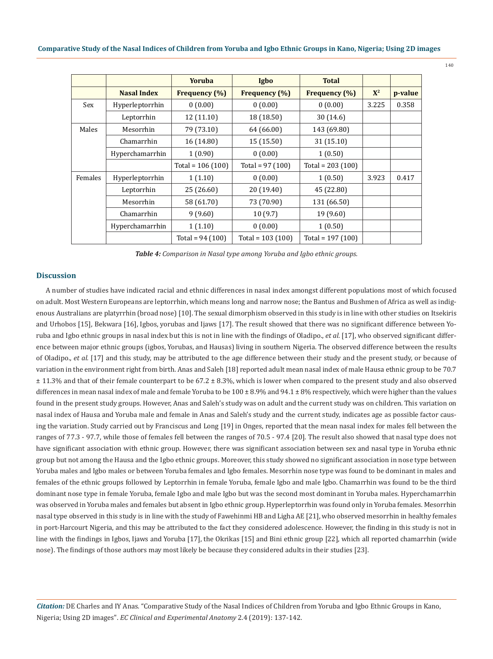|         |                    | <b>Yoruba</b>      | Igbo                 | <b>Total</b>         |       |         |
|---------|--------------------|--------------------|----------------------|----------------------|-------|---------|
|         | <b>Nasal Index</b> | Frequency (%)      | <b>Frequency</b> (%) | <b>Frequency</b> (%) | $X^2$ | p-value |
| Sex     | Hyperleptorrhin    | 0(0.00)            | 0(0.00)              | 0(0.00)              | 3.225 | 0.358   |
|         | Leptorrhin         | 12 (11.10)         | 18 (18.50)           | 30(14.6)             |       |         |
| Males   | Mesorrhin          | 79 (73.10)         | 64 (66.00)           | 143 (69.80)          |       |         |
|         | Chamarrhin         | 16 (14.80)         | 15(15.50)            | 31(15.10)            |       |         |
|         | Hyperchamarrhin    | 1(0.90)            | 0(0.00)              | 1(0.50)              |       |         |
|         |                    | Total = $106(100)$ | Total = $97(100)$    | Total = $203(100)$   |       |         |
| Females | Hyperleptorrhin    | 1(1.10)            | 0(0.00)              | 1(0.50)              | 3.923 | 0.417   |
|         | Leptorrhin         | 25 (26.60)         | 20(19.40)            | 45 (22.80)           |       |         |
|         | Mesorrhin          | 58 (61.70)         | 73 (70.90)           | 131 (66.50)          |       |         |
|         | Chamarrhin         | 9(9.60)            | 10(9.7)              | 19 (9.60)            |       |         |
|         | Hyperchamarrhin    | 1(1.10)            | 0(0.00)              | 1(0.50)              |       |         |
|         |                    | Total = $94(100)$  | Total = $103(100)$   | Total = $197(100)$   |       |         |

*Table 4: Comparison in Nasal type among Yoruba and Igbo ethnic groups.*

### **Discussion**

A number of studies have indicated racial and ethnic differences in nasal index amongst different populations most of which focused on adult. Most Western Europeans are leptorrhin, which means long and narrow nose; the Bantus and Bushmen of Africa as well as indigenous Australians are platyrrhin (broad nose) [10]. The sexual dimorphism observed in this study is in line with other studies on Itsekiris and Urhobos [15], Bekwara [16], Igbos, yorubas and Ijaws [17]. The result showed that there was no significant difference between Yoruba and Igbo ethnic groups in nasal index but this is not in line with the findings of Oladipo., *et al.* [17], who observed significant difference between major ethnic groups (igbos, Yorubas, and Hausas) living in southern Nigeria. The observed difference between the results of Oladipo., *et al.* [17] and this study, may be attributed to the age difference between their study and the present study, or because of variation in the environment right from birth. Anas and Saleh [18] reported adult mean nasal index of male Hausa ethnic group to be 70.7 ± 11.3% and that of their female counterpart to be 67.2 ± 8.3%, which is lower when compared to the present study and also observed differences in mean nasal index of male and female Yoruba to be  $100 \pm 8.9\%$  and  $94.1 \pm 8\%$  respectively, which were higher than the values found in the present study groups. However, Anas and Saleh's study was on adult and the current study was on children. This variation on nasal index of Hausa and Yoruba male and female in Anas and Saleh's study and the current study, indicates age as possible factor causing the variation. Study carried out by Franciscus and Long [19] in Onges, reported that the mean nasal index for males fell between the ranges of 77.3 - 97.7, while those of females fell between the ranges of 70.5 - 97.4 [20]. The result also showed that nasal type does not have significant association with ethnic group. However, there was significant association between sex and nasal type in Yoruba ethnic group but not among the Hausa and the Igbo ethnic groups. Moreover, this study showed no significant association in nose type between Yoruba males and Igbo males or between Yoruba females and Igbo females. Mesorrhin nose type was found to be dominant in males and females of the ethnic groups followed by Leptorrhin in female Yoruba, female Igbo and male Igbo. Chamarrhin was found to be the third dominant nose type in female Yoruba, female Igbo and male Igbo but was the second most dominant in Yoruba males. Hyperchamarrhin was observed in Yoruba males and females but absent in Igbo ethnic group. Hyperleptorrhin was found only in Yoruba females. Mesorrhin nasal type observed in this study is in line with the study of Fawehinmi HB and Ligha AE [21], who observed mesorrhin in healthy females in port-Harcourt Nigeria, and this may be attributed to the fact they considered adolescence. However, the finding in this study is not in line with the findings in Igbos, Ijaws and Yoruba [17], the Okrikas [15] and Bini ethnic group [22], which all reported chamarrhin (wide nose). The findings of those authors may most likely be because they considered adults in their studies [23].

*Citation:* DE Charles and IY Anas*.* "Comparative Study of the Nasal Indices of Children from Yoruba and Igbo Ethnic Groups in Kano, Nigeria; Using 2D images". *EC Clinical and Experimental Anatomy* 2.4 (2019): 137-142.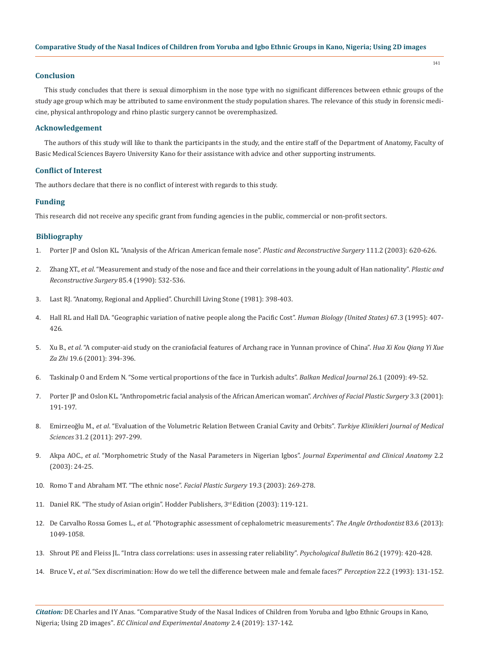### **Conclusion**

This study concludes that there is sexual dimorphism in the nose type with no significant differences between ethnic groups of the study age group which may be attributed to same environment the study population shares. The relevance of this study in forensic medicine, physical anthropology and rhino plastic surgery cannot be overemphasized.

141

#### **Acknowledgement**

The authors of this study will like to thank the participants in the study, and the entire staff of the Department of Anatomy, Faculty of Basic Medical Sciences Bayero University Kano for their assistance with advice and other supporting instruments.

#### **Conflict of Interest**

The authors declare that there is no conflict of interest with regards to this study.

#### **Funding**

This research did not receive any specific grant from funding agencies in the public, commercial or non-profit sectors.

#### **Bibliography**

- 1. [Porter JP and Oslon KL. "Analysis of the African American female nose".](https://www.ncbi.nlm.nih.gov/pubmed/12560683) *Plastic and Reconstructive Surgery* 111.2 (2003): 620-626.
- 2. Zhang XT., *et al*[. "Measurement and study of the nose and face and their correlations in the young adult of Han nationality".](https://www.ncbi.nlm.nih.gov/pubmed/2315393) *Plastic and [Reconstructive Surgery](https://www.ncbi.nlm.nih.gov/pubmed/2315393)* 85.4 (1990): 532-536.
- 3. Last RJ. "Anatomy, Regional and Applied". Churchill Living Stone (1981): 398-403.
- 4. [Hall RL and Hall DA. "Geographic variation of native people along the Pacific Cost".](https://www.ncbi.nlm.nih.gov/pubmed/7607636) *Human Biology (United States)* 67.3 (1995): 407- [426.](https://www.ncbi.nlm.nih.gov/pubmed/7607636)
- 5. Xu B., *et al*[. "A computer-aid study on the craniofacial features of Archang race in Yunnan province of China".](https://www.ncbi.nlm.nih.gov/pubmed/12539693) *Hua Xi Kou Qiang Yi Xue Za Zhi* [19.6 \(2001\): 394-396.](https://www.ncbi.nlm.nih.gov/pubmed/12539693)
- 6. [Taskinalp O and Erdem N. "Some vertical proportions of the face in Turkish adults".](https://pdfs.semanticscholar.org/8a84/5322b40d9c6ae55c1b11a75a9f1fdba06c83.pdf?_ga=2.72743187.1692845378.1556768383-1817527958.1556768383) *Balkan Medical Journal* 26.1 (2009): 49-52.
- 7. [Porter JP and Oslon KL. "Anthropometric facial analysis of the African American woman".](https://www.ncbi.nlm.nih.gov/pubmed/11497505) *Archives of Facial Plastic Surgery* 3.3 (2001): [191-197.](https://www.ncbi.nlm.nih.gov/pubmed/11497505)
- 8. Emirzeoğlu M., *et al*[. "Evaluation of the Volumetric Relation Between Cranial Cavity and Orbits".](https://pdfs.semanticscholar.org/aa55/5e83ffbcd6c4ba3b8208e4bfdd6e75d658c5.pdf) *Turkiye Klinikleri Journal of Medical Sciences* [31.2 \(2011\): 297-299.](https://pdfs.semanticscholar.org/aa55/5e83ffbcd6c4ba3b8208e4bfdd6e75d658c5.pdf)
- 9. Akpa AOC., *et al*[. "Morphometric Study of the Nasal Parameters in Nigerian Igbos".](https://www.ajol.info/index.php/jeca/article/view/30892) *Journal Experimental and Clinical Anatomy* 2.2 [\(2003\): 24-25.](https://www.ajol.info/index.php/jeca/article/view/30892)
- 10. [Romo T and Abraham MT. "The ethnic nose".](https://www.ncbi.nlm.nih.gov/pubmed/14574634) *Facial Plastic Surgery* 19.3 (2003): 269-278.
- 11. Daniel RK. "The study of Asian origin". Hodder Publishers, 3rd Edition (2003): 119-121.
- 12. De Carvalho Rossa Gomes L., *et al*[. "Photographic assessment of cephalometric measurements".](https://www.angle.org/doi/10.2319/120712-925.1) *The Angle Orthodontist* 83.6 (2013): [1049-1058.](https://www.angle.org/doi/10.2319/120712-925.1)
- 13. [Shrout PE and Fleiss JL. "Intra class correlations: uses in assessing rater reliability".](https://www.ncbi.nlm.nih.gov/pubmed/18839484) *Psychological Bulletin* 86.2 (1979): 420-428.
- 14. Bruce V., *et al*[. "Sex discrimination: How do we tell the difference between male and female faces?"](https://www.ncbi.nlm.nih.gov/pubmed/8474840) *Perception* 22.2 (1993): 131-152.

*Citation:* DE Charles and IY Anas*.* "Comparative Study of the Nasal Indices of Children from Yoruba and Igbo Ethnic Groups in Kano, Nigeria; Using 2D images". *EC Clinical and Experimental Anatomy* 2.4 (2019): 137-142.